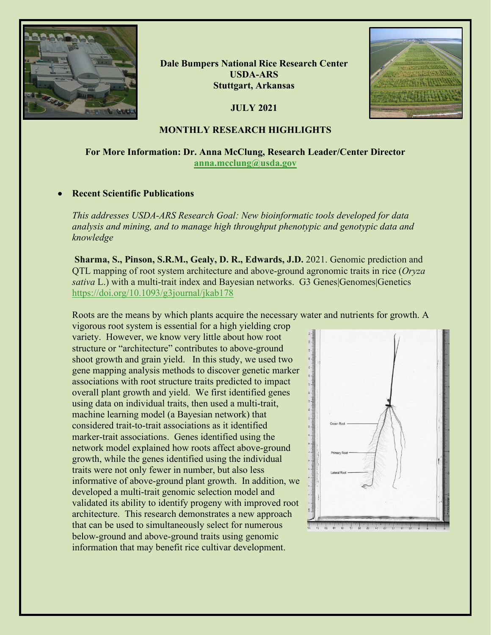

**Dale Bumpers National Rice Research Center USDA-ARS Stuttgart, Arkansas**

**JULY 2021**



#### **MONTHLY RESEARCH HIGHLIGHTS**

# **For More Information: Dr. Anna McClung, Research Leader/Center Director [anna.mcclung@usda.gov](mailto:anna.mcclung@usda.gov)**

#### • **Recent Scientific Publications**

*This addresses USDA-ARS Research Goal: New bioinformatic tools developed for data analysis and mining, and to manage high throughput phenotypic and genotypic data and knowledge*

**Sharma, S., Pinson, S.R.M., Gealy, D. R., Edwards, J.D.** 2021. Genomic prediction and QTL mapping of root system architecture and above-ground agronomic traits in rice (*Oryza sativa* L.) with a multi-trait index and Bayesian networks. G3 Genes|Genomes|Genetics <https://doi.org/10.1093/g3journal/jkab178>

Roots are the means by which plants acquire the necessary water and nutrients for growth. A

vigorous root system is essential for a high yielding crop variety. However, we know very little about how root structure or "architecture" contributes to above-ground shoot growth and grain yield. In this study, we used two gene mapping analysis methods to discover genetic marker associations with root structure traits predicted to impact overall plant growth and yield. We first identified genes using data on individual traits, then used a multi-trait, machine learning model (a Bayesian network) that considered trait-to-trait associations as it identified marker-trait associations. Genes identified using the network model explained how roots affect above-ground growth, while the genes identified using the individual traits were not only fewer in number, but also less informative of above-ground plant growth. In addition, we developed a multi-trait genomic selection model and validated its ability to identify progeny with improved root architecture. This research demonstrates a new approach that can be used to simultaneously select for numerous below-ground and above-ground traits using genomic information that may benefit rice cultivar development.

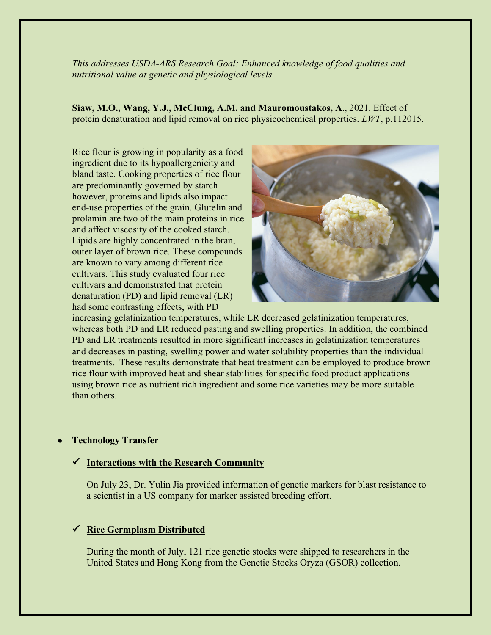*This addresses USDA-ARS Research Goal: Enhanced knowledge of food qualities and nutritional value at genetic and physiological levels* 

**Siaw, M.O., Wang, Y.J., McClung, A.M. and Mauromoustakos, A**., 2021. Effect of protein denaturation and lipid removal on rice physicochemical properties. *LWT*, p.112015.

Rice flour is growing in popularity as a food ingredient due to its hypoallergenicity and bland taste. Cooking properties of rice flour are predominantly governed by starch however, proteins and lipids also impact end-use properties of the grain. Glutelin and prolamin are two of the main proteins in rice and affect viscosity of the cooked starch. Lipids are highly concentrated in the bran, outer layer of brown rice. These compounds are known to vary among different rice cultivars. This study evaluated four rice cultivars and demonstrated that protein denaturation (PD) and lipid removal (LR) had some contrasting effects, with PD



increasing gelatinization temperatures, while LR decreased gelatinization temperatures, whereas both PD and LR reduced pasting and swelling properties. In addition, the combined PD and LR treatments resulted in more significant increases in gelatinization temperatures and decreases in pasting, swelling power and water solubility properties than the individual treatments. These results demonstrate that heat treatment can be employed to produce brown rice flour with improved heat and shear stabilities for specific food product applications using brown rice as nutrient rich ingredient and some rice varieties may be more suitable than others.

# • **Technology Transfer**

# **Interactions with the Research Community**

On July 23, Dr. Yulin Jia provided information of genetic markers for blast resistance to a scientist in a US company for marker assisted breeding effort.

# **Rice Germplasm Distributed**

During the month of July, 121 rice genetic stocks were shipped to researchers in the United States and Hong Kong from the Genetic Stocks Oryza (GSOR) collection.